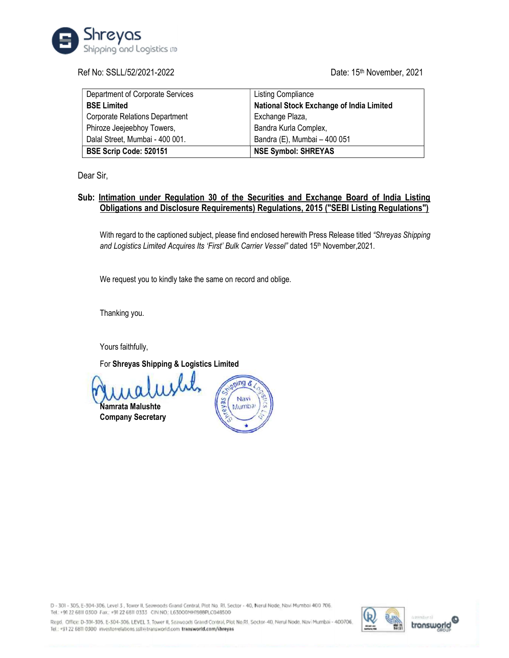

# Ref No: SSLL/52/2021-2022 **Date: 15th November, 2021**

| Department of Corporate Services      | <b>Listing Compliance</b>                       |
|---------------------------------------|-------------------------------------------------|
| <b>BSE Limited</b>                    | <b>National Stock Exchange of India Limited</b> |
| <b>Corporate Relations Department</b> | Exchange Plaza,                                 |
| Phiroze Jeejeebhoy Towers,            | Bandra Kurla Complex,                           |
| Dalal Street, Mumbai - 400 001.       | Bandra (E), Mumbai - 400 051                    |
| BSE Scrip Code: 520151                | <b>NSE Symbol: SHREYAS</b>                      |

Dear Sir,

# Sub: Intimation under Regulation 30 of the Securities and Exchange Board of India Listing Obligations and Disclosure Requirements) Regulations, 2015 ("SEBI Listing Regulations")

With regard to the captioned subject, please find enclosed herewith Press Release titled "Shreyas Shipping and Logistics Limited Acquires Its 'First' Bulk Carrier Vessel" dated 15<sup>th</sup> November, 2021.

We request you to kindly take the same on record and oblige.

Thanking you.

Yours faithfully,

For Shreyas Shipping & Logistics Limited

Namrata Malushte Company Secretary



D - 301 - 305, E-304-306, Level 3, Tower II, Seawoods Grand Central, Plot No. RI, Sector - 40, Nerul Node, Navi Mumbai 400 706. Tel: +91 22 6811 0300 Fax: +91 22 6811 0333 CIN NO: L63000MH1988PLC048500

Regd. Office: D-301-305. E-304-306. LEVEL 3, Tower II, Seawoods Grand Contral, Plot No.RI, Sector-40, Nerul Nodo, Navi Mumbai - 400706 Tel.: +91 22 6811 0300 investorrelations.ssllkitransworld.com transworld.com/shreyas



transworld